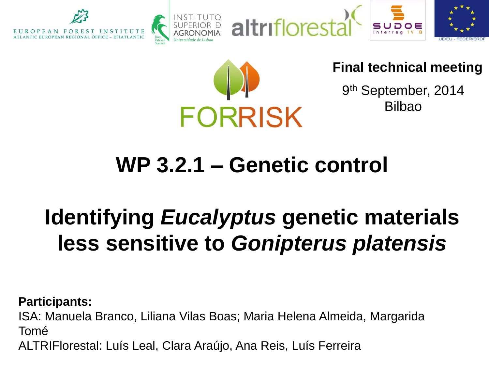







### **Final technical meeting**

9<sup>th</sup> September, 2014 Bilbao

# **WP 3.2.1 – Genetic control**

# **Identifying** *Eucalyptus* **genetic materials less sensitive to** *Gonipterus platensis*

**Participants:**  ISA: Manuela Branco, Liliana Vilas Boas; Maria Helena Almeida, Margarida Tomé

ALTRIFlorestal: Luís Leal, Clara Araújo, Ana Reis, Luís Ferreira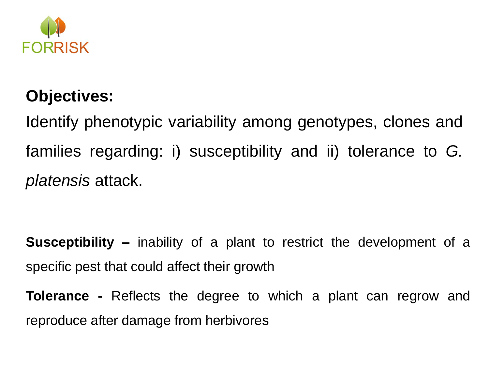

### **Objectives:**

Identify phenotypic variability among genotypes, clones and families regarding: i) susceptibility and ii) tolerance to *G. platensis* attack.

**Susceptibility –** inability of a plant to restrict the development of a specific pest that could affect their growth

**Tolerance -** Reflects the degree to which a plant can regrow and reproduce after damage from herbivores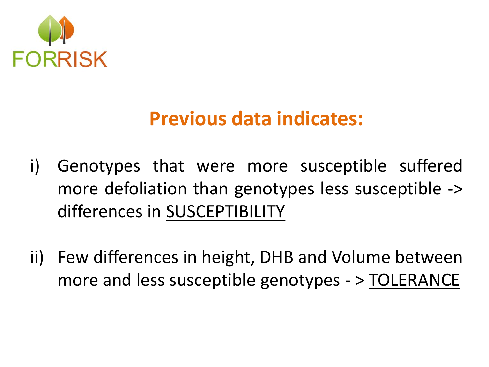

## **Previous data indicates:**

- i) Genotypes that were more susceptible suffered more defoliation than genotypes less susceptible -> differences in SUSCEPTIBILITY
- ii) Few differences in height, DHB and Volume between more and less susceptible genotypes - > TOLERANCE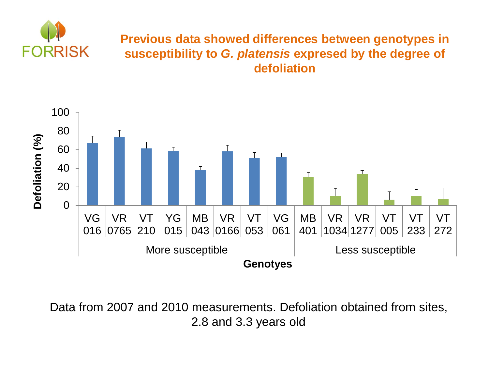

#### **Previous data showed differences between genotypes in susceptibility to** *G. platensis* **expresed by the degree of defoliation**



Data from 2007 and 2010 measurements. Defoliation obtained from sites, 2.8 and 3.3 years old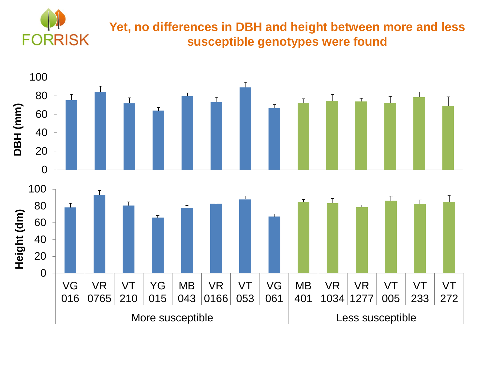

#### **Yet, no differences in DBH and height between more and less susceptible genotypes were found**

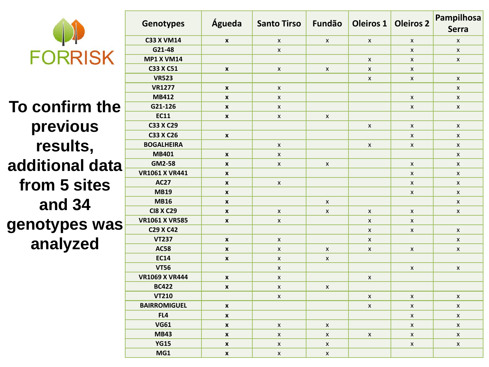

**To confirm the previous results, additional data from 5 sites and 34 genotypes was analyzed**

| <b>Genotypes</b>      | Águeda             | <b>Santo Tirso</b> | Fundão             | <b>Oleiros 1</b> | <b>Oleiros 2</b> | Pampilhosa<br><b>Serra</b> |
|-----------------------|--------------------|--------------------|--------------------|------------------|------------------|----------------------------|
| <b>C33 X VM14</b>     | $\pmb{\mathsf{x}}$ | X                  | $\pmb{\mathsf{X}}$ | X                | $\pmb{\times}$   | X                          |
| G21-48                |                    | X                  |                    |                  | $\pmb{\times}$   | X                          |
| <b>MP1 X VM14</b>     |                    |                    |                    | $\mathsf{x}$     | $\mathsf{x}$     | X                          |
| C33 X C51             | $\boldsymbol{x}$   | $\mathsf{x}$       | X                  | $\pmb{\times}$   | $\pmb{\times}$   |                            |
| <b>VR523</b>          |                    |                    |                    | X                | $\pmb{\times}$   | X                          |
| <b>VR1277</b>         | $\pmb{\mathsf{x}}$ | X                  |                    |                  |                  | X                          |
| <b>MB412</b>          | $\pmb{\mathsf{x}}$ | $\mathsf{x}$       |                    |                  | $\pmb{\times}$   | $\mathsf{x}$               |
| G21-126               | $\pmb{\mathsf{x}}$ | X                  |                    |                  | $\pmb{\times}$   | X                          |
| <b>EC11</b>           | $\pmb{\mathsf{x}}$ | X                  | X                  |                  |                  |                            |
| C33 X C29             |                    |                    |                    | X                | $\pmb{\times}$   | $\pmb{\chi}$               |
| C33 X C26             | $\pmb{\mathsf{x}}$ |                    |                    |                  | X                | $\mathsf{x}$               |
| <b>BOGALHEIRA</b>     |                    | $\mathsf{x}$       |                    | $\mathsf{x}$     | $\mathsf{x}$     | X                          |
| MB401                 | $\pmb{\mathsf{x}}$ | $\pmb{\chi}$       |                    |                  |                  | $\mathsf{x}$               |
| GM2-58                | $\mathbf{x}$       | X                  | X                  |                  | $\pmb{\times}$   | X                          |
| <b>VR1061 X VR441</b> | $\mathbf{x}$       |                    |                    |                  | $\mathsf{x}$     | $\mathsf{x}$               |
| <b>AC27</b>           | $\mathbf{x}$       | X                  |                    |                  | $\mathsf{x}$     | X                          |
| <b>MB19</b>           | $\mathbf{x}$       |                    |                    |                  | $\mathsf{x}$     | $\pmb{\mathsf{X}}$         |
| <b>MB16</b>           | $\pmb{\mathsf{x}}$ |                    | X                  |                  |                  | X                          |
| <b>CI8 X C29</b>      | $\pmb{\mathsf{x}}$ | X                  | X                  | X                | $\pmb{\times}$   | X                          |
| <b>VR1061 X VR585</b> | $\mathbf{x}$       | X                  |                    | $\mathsf{x}$     | $\mathsf{x}$     |                            |
| C29 X C42             |                    |                    |                    | $\mathsf{x}$     | $\mathsf{x}$     | $\mathsf{x}$               |
| <b>VT237</b>          | $\pmb{\mathsf{x}}$ | X                  |                    | X                |                  | X                          |
| <b>AC58</b>           | $\pmb{\mathsf{x}}$ | X                  | X                  | X                | $\pmb{\times}$   | X                          |
| <b>EC14</b>           | $\pmb{\mathsf{x}}$ | $\mathsf{x}$       | X                  |                  |                  |                            |
| <b>VT56</b>           |                    | X                  |                    |                  | X                | X                          |
| <b>VR1069 X VR444</b> | $\boldsymbol{x}$   | X                  |                    | X                |                  |                            |
| <b>BC422</b>          | $\pmb{\mathsf{x}}$ | $\pmb{\mathsf{x}}$ | X                  |                  |                  |                            |
| <b>VT210</b>          |                    | $\pmb{\mathsf{X}}$ |                    | X                | X                | $\mathsf{x}$               |
| <b>BAIRROMIGUEL</b>   | $\mathbf{x}$       |                    |                    | X                | $\mathsf{x}$     | $\mathsf{x}$               |
| FL4                   | $\mathbf{x}$       |                    |                    |                  | $\mathsf{x}$     | $\mathsf{x}$               |
| <b>VG61</b>           | $\pmb{\mathsf{x}}$ | $\pmb{\chi}$       | X                  |                  | X                | X                          |
| <b>MB43</b>           | $\pmb{\mathsf{x}}$ | $\mathsf{x}$       | X                  | X                | $\pmb{\times}$   | $\mathsf{x}$               |
| <b>YG15</b>           | $\pmb{\mathsf{x}}$ | X                  | $\pmb{\times}$     |                  | $\pmb{\times}$   | X                          |
| MG1                   | $\pmb{\mathsf{x}}$ | X                  | X                  |                  |                  |                            |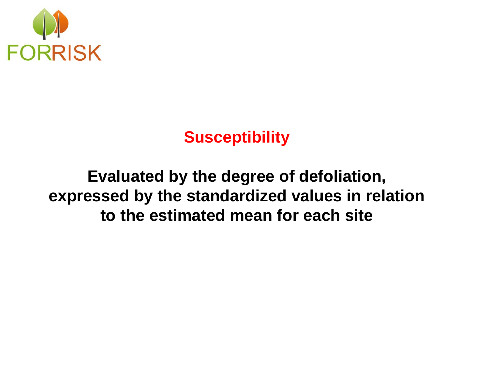

### **Susceptibility**

### **Evaluated by the degree of defoliation, expressed by the standardized values in relation to the estimated mean for each site**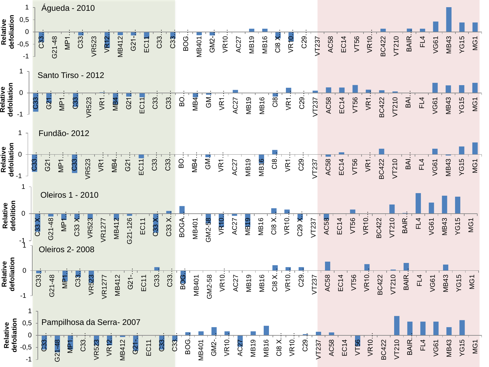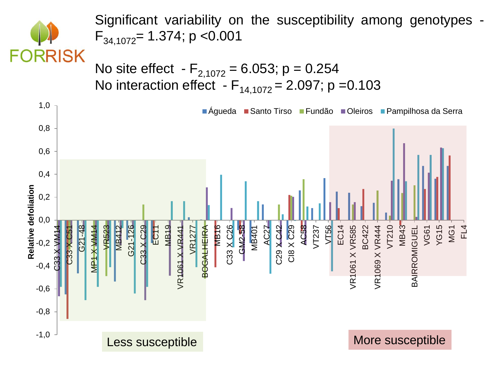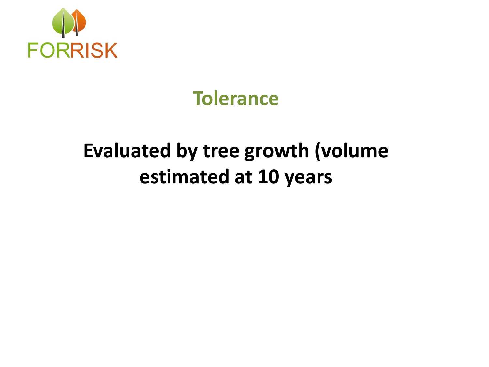

## **Tolerance**

## **Evaluated by tree growth (volume estimated at 10 years**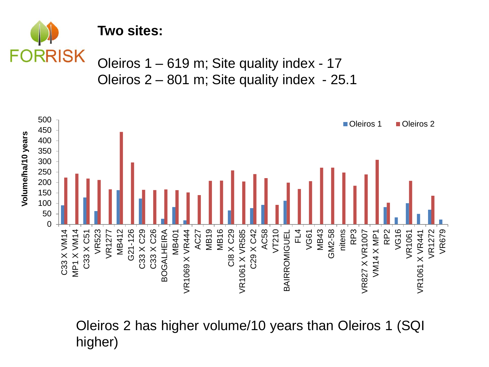

#### **Two sites:**

Oleiros 1 – 619 m; Site quality index - 17 Oleiros 2 – 801 m; Site quality index - 25.1



Oleiros 2 has higher volume/10 years than Oleiros 1 (SQI higher)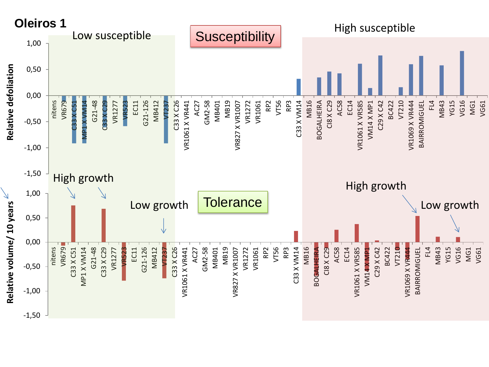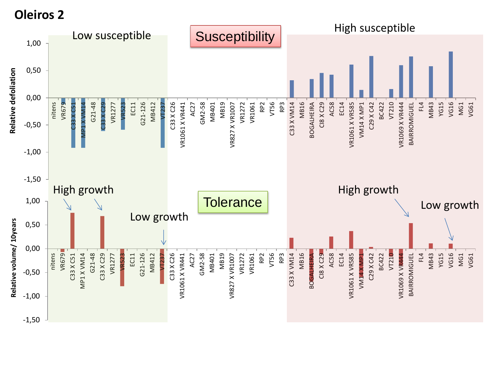**Oleiros 2**